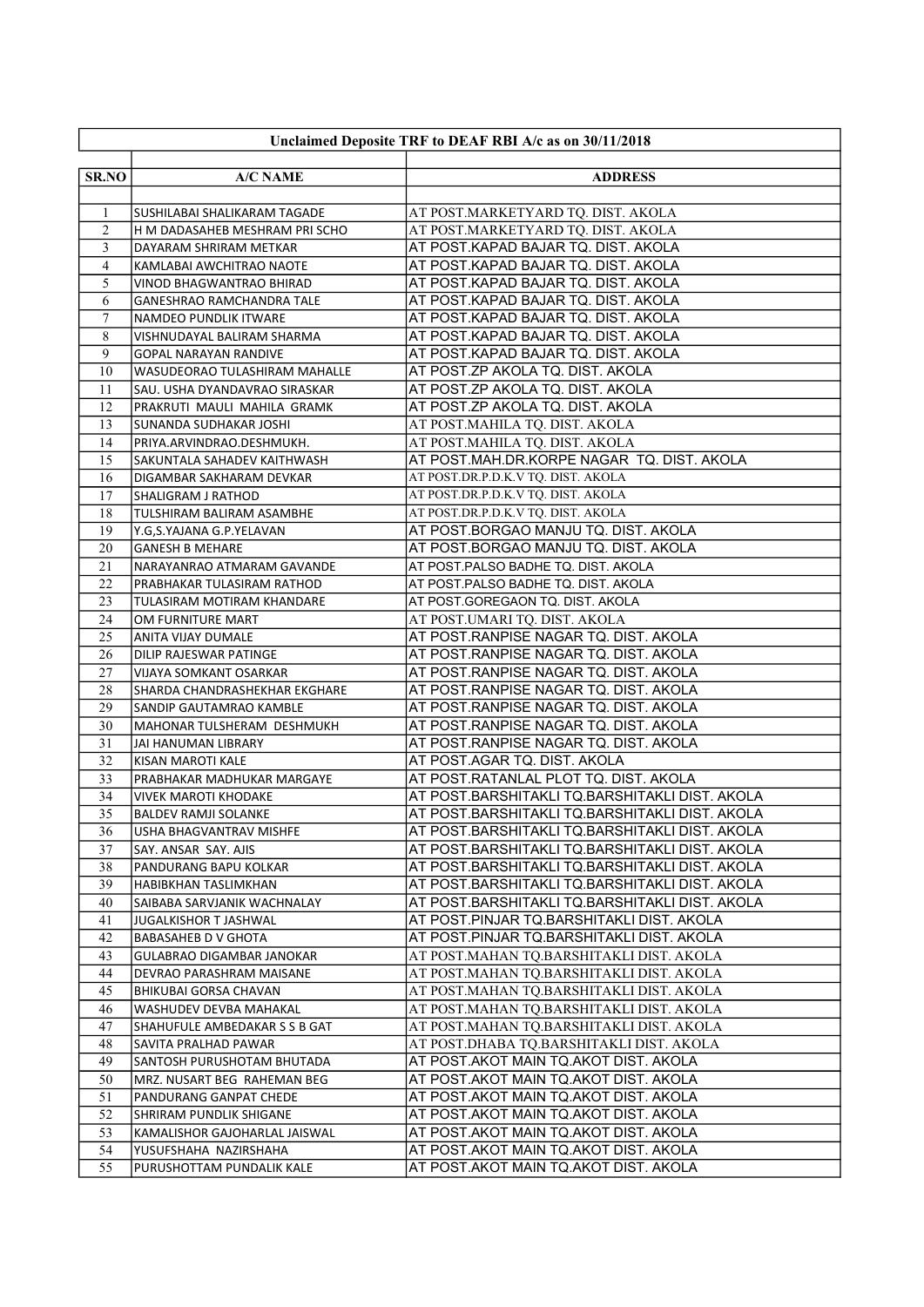| Unclaimed Deposite TRF to DEAF RBI A/c as on 30/11/2018 |                                                                |                                                                                      |
|---------------------------------------------------------|----------------------------------------------------------------|--------------------------------------------------------------------------------------|
|                                                         |                                                                |                                                                                      |
| <b>SR.NO</b>                                            | <b>A/C NAME</b>                                                | <b>ADDRESS</b>                                                                       |
|                                                         |                                                                | AT POST.MARKETYARD TQ. DIST. AKOLA                                                   |
| 1<br>$\overline{2}$                                     | SUSHILABAI SHALIKARAM TAGADE<br>H M DADASAHEB MESHRAM PRI SCHO | AT POST.MARKETYARD TQ. DIST. AKOLA                                                   |
| 3                                                       | DAYARAM SHRIRAM METKAR                                         | AT POST.KAPAD BAJAR TQ. DIST. AKOLA                                                  |
| $\overline{4}$                                          | KAMLABAI AWCHITRAO NAOTE                                       | AT POST.KAPAD BAJAR TQ. DIST. AKOLA                                                  |
| 5                                                       | VINOD BHAGWANTRAO BHIRAD                                       | AT POST.KAPAD BAJAR TQ. DIST. AKOLA                                                  |
| 6                                                       | <b>GANESHRAO RAMCHANDRA TALE</b>                               | AT POST.KAPAD BAJAR TQ. DIST. AKOLA                                                  |
| 7                                                       | NAMDEO PUNDLIK ITWARE                                          | AT POST.KAPAD BAJAR TQ. DIST. AKOLA                                                  |
| 8                                                       | VISHNUDAYAL BALIRAM SHARMA                                     | AT POST.KAPAD BAJAR TQ. DIST. AKOLA                                                  |
| 9                                                       | <b>GOPAL NARAYAN RANDIVE</b>                                   | AT POST.KAPAD BAJAR TQ. DIST. AKOLA                                                  |
| 10                                                      | WASUDEORAO TULASHIRAM MAHALLE                                  | AT POST.ZP AKOLA TQ. DIST. AKOLA                                                     |
| 11                                                      | SAU. USHA DYANDAVRAO SIRASKAR                                  | AT POST.ZP AKOLA TQ. DIST. AKOLA                                                     |
| 12                                                      | PRAKRUTI MAULI MAHILA GRAMK                                    | AT POST.ZP AKOLA TQ. DIST. AKOLA                                                     |
| 13                                                      | SUNANDA SUDHAKAR JOSHI                                         | AT POST.MAHILA TQ. DIST. AKOLA                                                       |
| 14                                                      | PRIYA.ARVINDRAO.DESHMUKH.                                      | AT POST.MAHILA TQ. DIST. AKOLA                                                       |
| 15                                                      | SAKUNTALA SAHADEV KAITHWASH                                    | AT POST.MAH.DR.KORPE NAGAR TQ. DIST. AKOLA                                           |
| 16                                                      | DIGAMBAR SAKHARAM DEVKAR                                       | AT POST.DR.P.D.K.V TQ. DIST. AKOLA                                                   |
| 17                                                      | SHALIGRAM J RATHOD                                             | AT POST.DR.P.D.K.V TQ. DIST. AKOLA                                                   |
| 18                                                      | TULSHIRAM BALIRAM ASAMBHE                                      | AT POST.DR.P.D.K.V TQ. DIST. AKOLA                                                   |
| 19                                                      | Y.G,S.YAJANA G.P.YELAVAN                                       | AT POST.BORGAO MANJU TQ. DIST. AKOLA                                                 |
| 20                                                      | <b>GANESH B MEHARE</b>                                         | AT POST.BORGAO MANJU TQ. DIST. AKOLA                                                 |
| 21<br>22                                                | NARAYANRAO ATMARAM GAVANDE                                     | AT POST PALSO BADHE TQ. DIST. AKOLA                                                  |
| 23                                                      | PRABHAKAR TULASIRAM RATHOD                                     | AT POST PALSO BADHE TQ. DIST. AKOLA<br>AT POST GOREGAON TO. DIST. AKOLA              |
| 24                                                      | TULASIRAM MOTIRAM KHANDARE<br>OM FURNITURE MART                | AT POST.UMARI TQ. DIST. AKOLA                                                        |
| 25                                                      | ANITA VIJAY DUMALE                                             | AT POST.RANPISE NAGAR TQ. DIST. AKOLA                                                |
| 26                                                      | DILIP RAJESWAR PATINGE                                         | AT POST.RANPISE NAGAR TQ. DIST. AKOLA                                                |
| 27                                                      | <b>VIJAYA SOMKANT OSARKAR</b>                                  | AT POST.RANPISE NAGAR TQ. DIST. AKOLA                                                |
| 28                                                      | SHARDA CHANDRASHEKHAR EKGHARE                                  | AT POST.RANPISE NAGAR TQ. DIST. AKOLA                                                |
| 29                                                      | SANDIP GAUTAMRAO KAMBLE                                        | AT POST.RANPISE NAGAR TQ. DIST. AKOLA                                                |
| 30                                                      | MAHONAR TULSHERAM DESHMUKH                                     | AT POST.RANPISE NAGAR TQ. DIST. AKOLA                                                |
| 31                                                      | <b>JAI HANUMAN LIBRARY</b>                                     | AT POST.RANPISE NAGAR TQ. DIST. AKOLA                                                |
| 32                                                      | KISAN MAROTI KALE                                              | AT POST.AGAR TQ. DIST. AKOLA                                                         |
| 33                                                      | PRABHAKAR MADHUKAR MARGAYE                                     | AT POST.RATANLAL PLOT TQ. DIST. AKOLA                                                |
| 34                                                      | <b>VIVEK MAROTI KHODAKE</b>                                    | AT POST.BARSHITAKLI TQ.BARSHITAKLI DIST. AKOLA                                       |
| 35                                                      | <b>BALDEV RAMJI SOLANKE</b>                                    | AT POST.BARSHITAKLI TQ.BARSHITAKLI DIST. AKOLA                                       |
| 36                                                      | USHA BHAGVANTRAV MISHFE                                        | AT POST.BARSHITAKLI TQ.BARSHITAKLI DIST. AKOLA                                       |
| 37                                                      | SAY. ANSAR SAY. AJIS                                           | AT POST.BARSHITAKLI TQ.BARSHITAKLI DIST. AKOLA                                       |
| 38                                                      | PANDURANG BAPU KOLKAR                                          | AT POST.BARSHITAKLI TQ.BARSHITAKLI DIST. AKOLA                                       |
| 39                                                      | HABIBKHAN TASLIMKHAN                                           | AT POST.BARSHITAKLI TQ.BARSHITAKLI DIST. AKOLA                                       |
| 40                                                      | SAIBABA SARVJANIK WACHNALAY                                    | AT POST.BARSHITAKLI TQ.BARSHITAKLI DIST. AKOLA                                       |
| 41                                                      | <b>JUGALKISHOR T JASHWAL</b>                                   | AT POST.PINJAR TQ.BARSHITAKLI DIST. AKOLA                                            |
| 42                                                      | <b>BABASAHEB D V GHOTA</b>                                     | AT POST.PINJAR TQ.BARSHITAKLI DIST. AKOLA                                            |
| 43                                                      | GULABRAO DIGAMBAR JANOKAR                                      | AT POST.MAHAN TQ.BARSHITAKLI DIST. AKOLA                                             |
| 44<br>45                                                | DEVRAO PARASHRAM MAISANE<br>BHIKUBAI GORSA CHAVAN              | AT POST.MAHAN TQ.BARSHITAKLI DIST. AKOLA<br>AT POST.MAHAN TQ.BARSHITAKLI DIST. AKOLA |
| 46                                                      | WASHUDEV DEVBA MAHAKAL                                         | AT POST.MAHAN TQ.BARSHITAKLI DIST. AKOLA                                             |
| 47                                                      | SHAHUFULE AMBEDAKAR S S B GAT                                  | AT POST.MAHAN TQ.BARSHITAKLI DIST. AKOLA                                             |
| 48                                                      | SAVITA PRALHAD PAWAR                                           | AT POST.DHABA TQ.BARSHITAKLI DIST. AKOLA                                             |
| 49                                                      | SANTOSH PURUSHOTAM BHUTADA                                     | AT POST.AKOT MAIN TQ.AKOT DIST. AKOLA                                                |
| 50                                                      | MRZ. NUSART BEG RAHEMAN BEG                                    | AT POST.AKOT MAIN TQ.AKOT DIST. AKOLA                                                |
| 51                                                      | PANDURANG GANPAT CHEDE                                         | AT POST.AKOT MAIN TQ.AKOT DIST. AKOLA                                                |
| 52                                                      | SHRIRAM PUNDLIK SHIGANE                                        | AT POST.AKOT MAIN TQ.AKOT DIST. AKOLA                                                |
| 53                                                      | KAMALISHOR GAJOHARLAL JAISWAL                                  | AT POST.AKOT MAIN TQ.AKOT DIST. AKOLA                                                |
| 54                                                      | YUSUFSHAHA NAZIRSHAHA                                          | AT POST.AKOT MAIN TQ.AKOT DIST. AKOLA                                                |
| 55                                                      | PURUSHOTTAM PUNDALIK KALE                                      | AT POST.AKOT MAIN TQ.AKOT DIST. AKOLA                                                |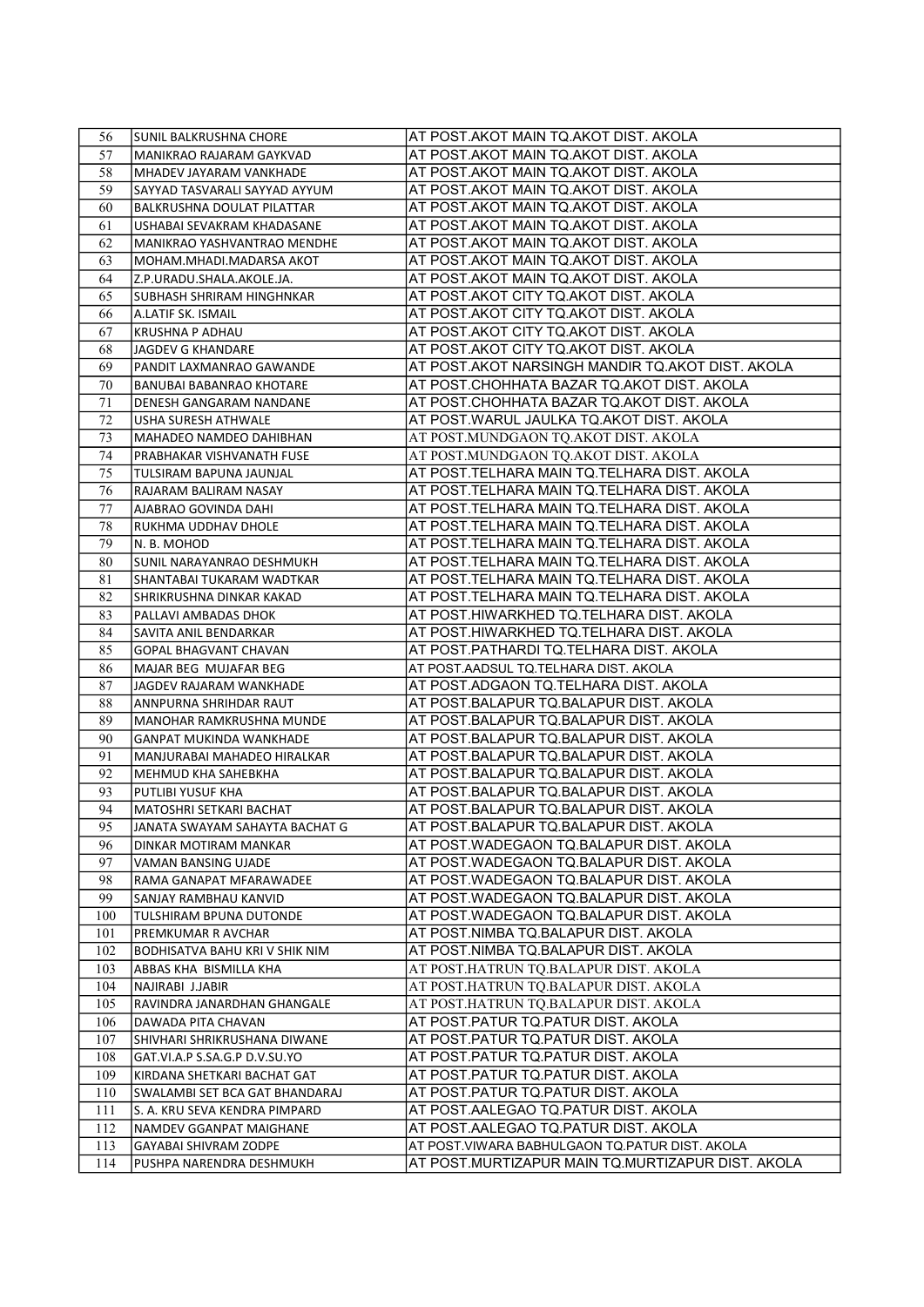| AT POST.AKOT MAIN TQ.AKOT DIST. AKOLA<br>57<br>MANIKRAO RAJARAM GAYKVAD<br>58<br>AT POST.AKOT MAIN TQ.AKOT DIST. AKOLA<br>MHADEV JAYARAM VANKHADE<br>AT POST.AKOT MAIN TQ.AKOT DIST. AKOLA<br>59<br>SAYYAD TASVARALI SAYYAD AYYUM<br>AT POST.AKOT MAIN TQ.AKOT DIST. AKOLA<br>60<br>BALKRUSHNA DOULAT PILATTAR<br>AT POST.AKOT MAIN TQ.AKOT DIST. AKOLA<br>61<br>USHABAI SEVAKRAM KHADASANE<br>AT POST.AKOT MAIN TQ.AKOT DIST. AKOLA<br>62<br>MANIKRAO YASHVANTRAO MENDHE<br>AT POST.AKOT MAIN TQ.AKOT DIST. AKOLA<br>63<br>MOHAM.MHADI.MADARSA AKOT<br>AT POST.AKOT MAIN TQ.AKOT DIST. AKOLA<br>64<br>Z.P.URADU.SHALA.AKOLE.JA.<br>AT POST.AKOT CITY TQ.AKOT DIST. AKOLA<br>SUBHASH SHRIRAM HINGHNKAR<br>65<br>AT POST.AKOT CITY TQ.AKOT DIST. AKOLA<br>66<br>A.LATIF SK. ISMAIL<br>67<br>AT POST.AKOT CITY TQ.AKOT DIST. AKOLA<br>KRUSHNA P ADHAU<br>AT POST.AKOT CITY TQ.AKOT DIST. AKOLA<br>68<br>JAGDEV G KHANDARE<br>69<br>AT POST.AKOT NARSINGH MANDIR TQ.AKOT DIST. AKOLA<br>PANDIT LAXMANRAO GAWANDE<br>AT POST.CHOHHATA BAZAR TQ.AKOT DIST. AKOLA<br>70<br>BANUBAI BABANRAO KHOTARE<br>71<br>AT POST.CHOHHATA BAZAR TQ.AKOT DIST. AKOLA<br>DENESH GANGARAM NANDANE<br>AT POST. WARUL JAULKA TQ. AKOT DIST. AKOLA<br>72<br>USHA SURESH ATHWALE<br>AT POST.MUNDGAON TQ.AKOT DIST. AKOLA<br>73<br>MAHADEO NAMDEO DAHIBHAN<br>AT POST.MUNDGAON TQ.AKOT DIST. AKOLA<br>74<br>PRABHAKAR VISHVANATH FUSE<br>AT POST.TELHARA MAIN TQ.TELHARA DIST. AKOLA<br>75<br>TULSIRAM BAPUNA JAUNJAL<br>76<br>AT POST.TELHARA MAIN TQ.TELHARA DIST. AKOLA<br>RAJARAM BALIRAM NASAY<br>77<br>AT POST.TELHARA MAIN TQ.TELHARA DIST. AKOLA<br>AJABRAO GOVINDA DAHI<br>78<br>AT POST.TELHARA MAIN TQ.TELHARA DIST. AKOLA<br>RUKHMA UDDHAV DHOLE<br>AT POST.TELHARA MAIN TQ.TELHARA DIST. AKOLA<br>79<br>N. B. MOHOD<br>AT POST.TELHARA MAIN TQ.TELHARA DIST. AKOLA<br>80<br>SUNIL NARAYANRAO DESHMUKH<br>AT POST.TELHARA MAIN TQ.TELHARA DIST. AKOLA<br>81<br>SHANTABAI TUKARAM WADTKAR<br>82<br>AT POST.TELHARA MAIN TQ.TELHARA DIST. AKOLA<br>SHRIKRUSHNA DINKAR KAKAD<br>AT POST.HIWARKHED TQ.TELHARA DIST. AKOLA<br>83<br>PALLAVI AMBADAS DHOK<br>84<br>AT POST.HIWARKHED TQ.TELHARA DIST. AKOLA<br>SAVITA ANIL BENDARKAR<br>85<br>AT POST.PATHARDI TQ.TELHARA DIST. AKOLA<br><b>GOPAL BHAGVANT CHAVAN</b><br>AT POST AADSUL TO TELHARA DIST. AKOLA<br>86<br>MAJAR BEG MUJAFAR BEG<br>87<br>AT POST.ADGAON TQ.TELHARA DIST. AKOLA<br>JAGDEV RAJARAM WANKHADE<br>88<br>AT POST.BALAPUR TQ.BALAPUR DIST. AKOLA<br>ANNPURNA SHRIHDAR RAUT<br>89<br>AT POST.BALAPUR TQ.BALAPUR DIST. AKOLA<br>MANOHAR RAMKRUSHNA MUNDE<br>AT POST.BALAPUR TQ.BALAPUR DIST. AKOLA<br>90<br><b>GANPAT MUKINDA WANKHADE</b><br>91<br>AT POST.BALAPUR TQ.BALAPUR DIST. AKOLA<br>MANJURABAI MAHADEO HIRALKAR<br>AT POST.BALAPUR TQ.BALAPUR DIST. AKOLA<br>92<br>MEHMUD KHA SAHEBKHA<br>AT POST.BALAPUR TQ.BALAPUR DIST. AKOLA<br>93<br>PUTLIBI YUSUF KHA<br>AT POST.BALAPUR TQ.BALAPUR DIST. AKOLA<br>94<br>MATOSHRI SETKARI BACHAT<br>JANATA SWAYAM SAHAYTA BACHAT G<br>AT POST.BALAPUR TQ.BALAPUR DIST. AKOLA<br>95<br>96<br>AT POST.WADEGAON TQ.BALAPUR DIST. AKOLA<br>DINKAR MOTIRAM MANKAR<br>97<br>AT POST.WADEGAON TQ.BALAPUR DIST. AKOLA<br>VAMAN BANSING UJADE<br>98<br>AT POST.WADEGAON TQ.BALAPUR DIST. AKOLA<br>RAMA GANAPAT MFARAWADEE<br>99<br>AT POST.WADEGAON TQ.BALAPUR DIST. AKOLA<br>SANJAY RAMBHAU KANVID<br>100<br>AT POST.WADEGAON TQ.BALAPUR DIST. AKOLA<br>TULSHIRAM BPUNA DUTONDE<br>AT POST.NIMBA TQ.BALAPUR DIST. AKOLA<br>101<br>PREMKUMAR R AVCHAR<br>AT POST.NIMBA TQ.BALAPUR DIST. AKOLA<br>102<br>BODHISATVA BAHU KRI V SHIK NIM<br>AT POST.HATRUN TQ.BALAPUR DIST. AKOLA<br>103<br>ABBAS KHA BISMILLA KHA<br>104<br>AT POST.HATRUN TQ.BALAPUR DIST. AKOLA<br>NAJIRABI J.JABIR<br>105<br>AT POST.HATRUN TO.BALAPUR DIST. AKOLA<br>RAVINDRA JANARDHAN GHANGALE<br>106<br>DAWADA PITA CHAVAN<br>AT POST.PATUR TQ.PATUR DIST. AKOLA<br>107<br>AT POST.PATUR TQ.PATUR DIST. AKOLA<br>SHIVHARI SHRIKRUSHANA DIWANE<br>AT POST.PATUR TQ.PATUR DIST. AKOLA<br>108<br>GAT.VI.A.P S.SA.G.P D.V.SU.YO<br>109<br>AT POST.PATUR TQ.PATUR DIST. AKOLA<br>KIRDANA SHETKARI BACHAT GAT<br>AT POST.PATUR TQ.PATUR DIST. AKOLA<br>110<br>SWALAMBI SET BCA GAT BHANDARAJ<br>AT POST.AALEGAO TQ.PATUR DIST. AKOLA<br>111<br>S. A. KRU SEVA KENDRA PIMPARD<br>AT POST.AALEGAO TQ.PATUR DIST. AKOLA<br>112<br>NAMDEV GGANPAT MAIGHANE<br>113<br>GAYABAI SHIVRAM ZODPE<br>AT POST. VIWARA BABHULGAON TO PATUR DIST. AKOLA<br>114<br>AT POST.MURTIZAPUR MAIN TQ.MURTIZAPUR DIST. AKOLA<br>PUSHPA NARENDRA DESHMUKH | 56 | <b>SUNIL BALKRUSHNA CHORE</b> | AT POST.AKOT MAIN TQ.AKOT DIST. AKOLA |
|-------------------------------------------------------------------------------------------------------------------------------------------------------------------------------------------------------------------------------------------------------------------------------------------------------------------------------------------------------------------------------------------------------------------------------------------------------------------------------------------------------------------------------------------------------------------------------------------------------------------------------------------------------------------------------------------------------------------------------------------------------------------------------------------------------------------------------------------------------------------------------------------------------------------------------------------------------------------------------------------------------------------------------------------------------------------------------------------------------------------------------------------------------------------------------------------------------------------------------------------------------------------------------------------------------------------------------------------------------------------------------------------------------------------------------------------------------------------------------------------------------------------------------------------------------------------------------------------------------------------------------------------------------------------------------------------------------------------------------------------------------------------------------------------------------------------------------------------------------------------------------------------------------------------------------------------------------------------------------------------------------------------------------------------------------------------------------------------------------------------------------------------------------------------------------------------------------------------------------------------------------------------------------------------------------------------------------------------------------------------------------------------------------------------------------------------------------------------------------------------------------------------------------------------------------------------------------------------------------------------------------------------------------------------------------------------------------------------------------------------------------------------------------------------------------------------------------------------------------------------------------------------------------------------------------------------------------------------------------------------------------------------------------------------------------------------------------------------------------------------------------------------------------------------------------------------------------------------------------------------------------------------------------------------------------------------------------------------------------------------------------------------------------------------------------------------------------------------------------------------------------------------------------------------------------------------------------------------------------------------------------------------------------------------------------------------------------------------------------------------------------------------------------------------------------------------------------------------------------------------------------------------------------------------------------------------------------------------------------------------------------------------------------------------------------------------------------------------------------------------------------------------------------------------------------------------------------------------------------------------------------------------------------------------------------------------------------------------------------------------------------------------------------------------------------------------------------------------------------------------------------------------------------------------------------------------------------------------|----|-------------------------------|---------------------------------------|
|                                                                                                                                                                                                                                                                                                                                                                                                                                                                                                                                                                                                                                                                                                                                                                                                                                                                                                                                                                                                                                                                                                                                                                                                                                                                                                                                                                                                                                                                                                                                                                                                                                                                                                                                                                                                                                                                                                                                                                                                                                                                                                                                                                                                                                                                                                                                                                                                                                                                                                                                                                                                                                                                                                                                                                                                                                                                                                                                                                                                                                                                                                                                                                                                                                                                                                                                                                                                                                                                                                                                                                                                                                                                                                                                                                                                                                                                                                                                                                                                                                                                                                                                                                                                                                                                                                                                                                                                                                                                                                                                                                                           |    |                               |                                       |
|                                                                                                                                                                                                                                                                                                                                                                                                                                                                                                                                                                                                                                                                                                                                                                                                                                                                                                                                                                                                                                                                                                                                                                                                                                                                                                                                                                                                                                                                                                                                                                                                                                                                                                                                                                                                                                                                                                                                                                                                                                                                                                                                                                                                                                                                                                                                                                                                                                                                                                                                                                                                                                                                                                                                                                                                                                                                                                                                                                                                                                                                                                                                                                                                                                                                                                                                                                                                                                                                                                                                                                                                                                                                                                                                                                                                                                                                                                                                                                                                                                                                                                                                                                                                                                                                                                                                                                                                                                                                                                                                                                                           |    |                               |                                       |
|                                                                                                                                                                                                                                                                                                                                                                                                                                                                                                                                                                                                                                                                                                                                                                                                                                                                                                                                                                                                                                                                                                                                                                                                                                                                                                                                                                                                                                                                                                                                                                                                                                                                                                                                                                                                                                                                                                                                                                                                                                                                                                                                                                                                                                                                                                                                                                                                                                                                                                                                                                                                                                                                                                                                                                                                                                                                                                                                                                                                                                                                                                                                                                                                                                                                                                                                                                                                                                                                                                                                                                                                                                                                                                                                                                                                                                                                                                                                                                                                                                                                                                                                                                                                                                                                                                                                                                                                                                                                                                                                                                                           |    |                               |                                       |
|                                                                                                                                                                                                                                                                                                                                                                                                                                                                                                                                                                                                                                                                                                                                                                                                                                                                                                                                                                                                                                                                                                                                                                                                                                                                                                                                                                                                                                                                                                                                                                                                                                                                                                                                                                                                                                                                                                                                                                                                                                                                                                                                                                                                                                                                                                                                                                                                                                                                                                                                                                                                                                                                                                                                                                                                                                                                                                                                                                                                                                                                                                                                                                                                                                                                                                                                                                                                                                                                                                                                                                                                                                                                                                                                                                                                                                                                                                                                                                                                                                                                                                                                                                                                                                                                                                                                                                                                                                                                                                                                                                                           |    |                               |                                       |
|                                                                                                                                                                                                                                                                                                                                                                                                                                                                                                                                                                                                                                                                                                                                                                                                                                                                                                                                                                                                                                                                                                                                                                                                                                                                                                                                                                                                                                                                                                                                                                                                                                                                                                                                                                                                                                                                                                                                                                                                                                                                                                                                                                                                                                                                                                                                                                                                                                                                                                                                                                                                                                                                                                                                                                                                                                                                                                                                                                                                                                                                                                                                                                                                                                                                                                                                                                                                                                                                                                                                                                                                                                                                                                                                                                                                                                                                                                                                                                                                                                                                                                                                                                                                                                                                                                                                                                                                                                                                                                                                                                                           |    |                               |                                       |
|                                                                                                                                                                                                                                                                                                                                                                                                                                                                                                                                                                                                                                                                                                                                                                                                                                                                                                                                                                                                                                                                                                                                                                                                                                                                                                                                                                                                                                                                                                                                                                                                                                                                                                                                                                                                                                                                                                                                                                                                                                                                                                                                                                                                                                                                                                                                                                                                                                                                                                                                                                                                                                                                                                                                                                                                                                                                                                                                                                                                                                                                                                                                                                                                                                                                                                                                                                                                                                                                                                                                                                                                                                                                                                                                                                                                                                                                                                                                                                                                                                                                                                                                                                                                                                                                                                                                                                                                                                                                                                                                                                                           |    |                               |                                       |
|                                                                                                                                                                                                                                                                                                                                                                                                                                                                                                                                                                                                                                                                                                                                                                                                                                                                                                                                                                                                                                                                                                                                                                                                                                                                                                                                                                                                                                                                                                                                                                                                                                                                                                                                                                                                                                                                                                                                                                                                                                                                                                                                                                                                                                                                                                                                                                                                                                                                                                                                                                                                                                                                                                                                                                                                                                                                                                                                                                                                                                                                                                                                                                                                                                                                                                                                                                                                                                                                                                                                                                                                                                                                                                                                                                                                                                                                                                                                                                                                                                                                                                                                                                                                                                                                                                                                                                                                                                                                                                                                                                                           |    |                               |                                       |
|                                                                                                                                                                                                                                                                                                                                                                                                                                                                                                                                                                                                                                                                                                                                                                                                                                                                                                                                                                                                                                                                                                                                                                                                                                                                                                                                                                                                                                                                                                                                                                                                                                                                                                                                                                                                                                                                                                                                                                                                                                                                                                                                                                                                                                                                                                                                                                                                                                                                                                                                                                                                                                                                                                                                                                                                                                                                                                                                                                                                                                                                                                                                                                                                                                                                                                                                                                                                                                                                                                                                                                                                                                                                                                                                                                                                                                                                                                                                                                                                                                                                                                                                                                                                                                                                                                                                                                                                                                                                                                                                                                                           |    |                               |                                       |
|                                                                                                                                                                                                                                                                                                                                                                                                                                                                                                                                                                                                                                                                                                                                                                                                                                                                                                                                                                                                                                                                                                                                                                                                                                                                                                                                                                                                                                                                                                                                                                                                                                                                                                                                                                                                                                                                                                                                                                                                                                                                                                                                                                                                                                                                                                                                                                                                                                                                                                                                                                                                                                                                                                                                                                                                                                                                                                                                                                                                                                                                                                                                                                                                                                                                                                                                                                                                                                                                                                                                                                                                                                                                                                                                                                                                                                                                                                                                                                                                                                                                                                                                                                                                                                                                                                                                                                                                                                                                                                                                                                                           |    |                               |                                       |
|                                                                                                                                                                                                                                                                                                                                                                                                                                                                                                                                                                                                                                                                                                                                                                                                                                                                                                                                                                                                                                                                                                                                                                                                                                                                                                                                                                                                                                                                                                                                                                                                                                                                                                                                                                                                                                                                                                                                                                                                                                                                                                                                                                                                                                                                                                                                                                                                                                                                                                                                                                                                                                                                                                                                                                                                                                                                                                                                                                                                                                                                                                                                                                                                                                                                                                                                                                                                                                                                                                                                                                                                                                                                                                                                                                                                                                                                                                                                                                                                                                                                                                                                                                                                                                                                                                                                                                                                                                                                                                                                                                                           |    |                               |                                       |
|                                                                                                                                                                                                                                                                                                                                                                                                                                                                                                                                                                                                                                                                                                                                                                                                                                                                                                                                                                                                                                                                                                                                                                                                                                                                                                                                                                                                                                                                                                                                                                                                                                                                                                                                                                                                                                                                                                                                                                                                                                                                                                                                                                                                                                                                                                                                                                                                                                                                                                                                                                                                                                                                                                                                                                                                                                                                                                                                                                                                                                                                                                                                                                                                                                                                                                                                                                                                                                                                                                                                                                                                                                                                                                                                                                                                                                                                                                                                                                                                                                                                                                                                                                                                                                                                                                                                                                                                                                                                                                                                                                                           |    |                               |                                       |
|                                                                                                                                                                                                                                                                                                                                                                                                                                                                                                                                                                                                                                                                                                                                                                                                                                                                                                                                                                                                                                                                                                                                                                                                                                                                                                                                                                                                                                                                                                                                                                                                                                                                                                                                                                                                                                                                                                                                                                                                                                                                                                                                                                                                                                                                                                                                                                                                                                                                                                                                                                                                                                                                                                                                                                                                                                                                                                                                                                                                                                                                                                                                                                                                                                                                                                                                                                                                                                                                                                                                                                                                                                                                                                                                                                                                                                                                                                                                                                                                                                                                                                                                                                                                                                                                                                                                                                                                                                                                                                                                                                                           |    |                               |                                       |
|                                                                                                                                                                                                                                                                                                                                                                                                                                                                                                                                                                                                                                                                                                                                                                                                                                                                                                                                                                                                                                                                                                                                                                                                                                                                                                                                                                                                                                                                                                                                                                                                                                                                                                                                                                                                                                                                                                                                                                                                                                                                                                                                                                                                                                                                                                                                                                                                                                                                                                                                                                                                                                                                                                                                                                                                                                                                                                                                                                                                                                                                                                                                                                                                                                                                                                                                                                                                                                                                                                                                                                                                                                                                                                                                                                                                                                                                                                                                                                                                                                                                                                                                                                                                                                                                                                                                                                                                                                                                                                                                                                                           |    |                               |                                       |
|                                                                                                                                                                                                                                                                                                                                                                                                                                                                                                                                                                                                                                                                                                                                                                                                                                                                                                                                                                                                                                                                                                                                                                                                                                                                                                                                                                                                                                                                                                                                                                                                                                                                                                                                                                                                                                                                                                                                                                                                                                                                                                                                                                                                                                                                                                                                                                                                                                                                                                                                                                                                                                                                                                                                                                                                                                                                                                                                                                                                                                                                                                                                                                                                                                                                                                                                                                                                                                                                                                                                                                                                                                                                                                                                                                                                                                                                                                                                                                                                                                                                                                                                                                                                                                                                                                                                                                                                                                                                                                                                                                                           |    |                               |                                       |
|                                                                                                                                                                                                                                                                                                                                                                                                                                                                                                                                                                                                                                                                                                                                                                                                                                                                                                                                                                                                                                                                                                                                                                                                                                                                                                                                                                                                                                                                                                                                                                                                                                                                                                                                                                                                                                                                                                                                                                                                                                                                                                                                                                                                                                                                                                                                                                                                                                                                                                                                                                                                                                                                                                                                                                                                                                                                                                                                                                                                                                                                                                                                                                                                                                                                                                                                                                                                                                                                                                                                                                                                                                                                                                                                                                                                                                                                                                                                                                                                                                                                                                                                                                                                                                                                                                                                                                                                                                                                                                                                                                                           |    |                               |                                       |
|                                                                                                                                                                                                                                                                                                                                                                                                                                                                                                                                                                                                                                                                                                                                                                                                                                                                                                                                                                                                                                                                                                                                                                                                                                                                                                                                                                                                                                                                                                                                                                                                                                                                                                                                                                                                                                                                                                                                                                                                                                                                                                                                                                                                                                                                                                                                                                                                                                                                                                                                                                                                                                                                                                                                                                                                                                                                                                                                                                                                                                                                                                                                                                                                                                                                                                                                                                                                                                                                                                                                                                                                                                                                                                                                                                                                                                                                                                                                                                                                                                                                                                                                                                                                                                                                                                                                                                                                                                                                                                                                                                                           |    |                               |                                       |
|                                                                                                                                                                                                                                                                                                                                                                                                                                                                                                                                                                                                                                                                                                                                                                                                                                                                                                                                                                                                                                                                                                                                                                                                                                                                                                                                                                                                                                                                                                                                                                                                                                                                                                                                                                                                                                                                                                                                                                                                                                                                                                                                                                                                                                                                                                                                                                                                                                                                                                                                                                                                                                                                                                                                                                                                                                                                                                                                                                                                                                                                                                                                                                                                                                                                                                                                                                                                                                                                                                                                                                                                                                                                                                                                                                                                                                                                                                                                                                                                                                                                                                                                                                                                                                                                                                                                                                                                                                                                                                                                                                                           |    |                               |                                       |
|                                                                                                                                                                                                                                                                                                                                                                                                                                                                                                                                                                                                                                                                                                                                                                                                                                                                                                                                                                                                                                                                                                                                                                                                                                                                                                                                                                                                                                                                                                                                                                                                                                                                                                                                                                                                                                                                                                                                                                                                                                                                                                                                                                                                                                                                                                                                                                                                                                                                                                                                                                                                                                                                                                                                                                                                                                                                                                                                                                                                                                                                                                                                                                                                                                                                                                                                                                                                                                                                                                                                                                                                                                                                                                                                                                                                                                                                                                                                                                                                                                                                                                                                                                                                                                                                                                                                                                                                                                                                                                                                                                                           |    |                               |                                       |
|                                                                                                                                                                                                                                                                                                                                                                                                                                                                                                                                                                                                                                                                                                                                                                                                                                                                                                                                                                                                                                                                                                                                                                                                                                                                                                                                                                                                                                                                                                                                                                                                                                                                                                                                                                                                                                                                                                                                                                                                                                                                                                                                                                                                                                                                                                                                                                                                                                                                                                                                                                                                                                                                                                                                                                                                                                                                                                                                                                                                                                                                                                                                                                                                                                                                                                                                                                                                                                                                                                                                                                                                                                                                                                                                                                                                                                                                                                                                                                                                                                                                                                                                                                                                                                                                                                                                                                                                                                                                                                                                                                                           |    |                               |                                       |
|                                                                                                                                                                                                                                                                                                                                                                                                                                                                                                                                                                                                                                                                                                                                                                                                                                                                                                                                                                                                                                                                                                                                                                                                                                                                                                                                                                                                                                                                                                                                                                                                                                                                                                                                                                                                                                                                                                                                                                                                                                                                                                                                                                                                                                                                                                                                                                                                                                                                                                                                                                                                                                                                                                                                                                                                                                                                                                                                                                                                                                                                                                                                                                                                                                                                                                                                                                                                                                                                                                                                                                                                                                                                                                                                                                                                                                                                                                                                                                                                                                                                                                                                                                                                                                                                                                                                                                                                                                                                                                                                                                                           |    |                               |                                       |
|                                                                                                                                                                                                                                                                                                                                                                                                                                                                                                                                                                                                                                                                                                                                                                                                                                                                                                                                                                                                                                                                                                                                                                                                                                                                                                                                                                                                                                                                                                                                                                                                                                                                                                                                                                                                                                                                                                                                                                                                                                                                                                                                                                                                                                                                                                                                                                                                                                                                                                                                                                                                                                                                                                                                                                                                                                                                                                                                                                                                                                                                                                                                                                                                                                                                                                                                                                                                                                                                                                                                                                                                                                                                                                                                                                                                                                                                                                                                                                                                                                                                                                                                                                                                                                                                                                                                                                                                                                                                                                                                                                                           |    |                               |                                       |
|                                                                                                                                                                                                                                                                                                                                                                                                                                                                                                                                                                                                                                                                                                                                                                                                                                                                                                                                                                                                                                                                                                                                                                                                                                                                                                                                                                                                                                                                                                                                                                                                                                                                                                                                                                                                                                                                                                                                                                                                                                                                                                                                                                                                                                                                                                                                                                                                                                                                                                                                                                                                                                                                                                                                                                                                                                                                                                                                                                                                                                                                                                                                                                                                                                                                                                                                                                                                                                                                                                                                                                                                                                                                                                                                                                                                                                                                                                                                                                                                                                                                                                                                                                                                                                                                                                                                                                                                                                                                                                                                                                                           |    |                               |                                       |
|                                                                                                                                                                                                                                                                                                                                                                                                                                                                                                                                                                                                                                                                                                                                                                                                                                                                                                                                                                                                                                                                                                                                                                                                                                                                                                                                                                                                                                                                                                                                                                                                                                                                                                                                                                                                                                                                                                                                                                                                                                                                                                                                                                                                                                                                                                                                                                                                                                                                                                                                                                                                                                                                                                                                                                                                                                                                                                                                                                                                                                                                                                                                                                                                                                                                                                                                                                                                                                                                                                                                                                                                                                                                                                                                                                                                                                                                                                                                                                                                                                                                                                                                                                                                                                                                                                                                                                                                                                                                                                                                                                                           |    |                               |                                       |
|                                                                                                                                                                                                                                                                                                                                                                                                                                                                                                                                                                                                                                                                                                                                                                                                                                                                                                                                                                                                                                                                                                                                                                                                                                                                                                                                                                                                                                                                                                                                                                                                                                                                                                                                                                                                                                                                                                                                                                                                                                                                                                                                                                                                                                                                                                                                                                                                                                                                                                                                                                                                                                                                                                                                                                                                                                                                                                                                                                                                                                                                                                                                                                                                                                                                                                                                                                                                                                                                                                                                                                                                                                                                                                                                                                                                                                                                                                                                                                                                                                                                                                                                                                                                                                                                                                                                                                                                                                                                                                                                                                                           |    |                               |                                       |
|                                                                                                                                                                                                                                                                                                                                                                                                                                                                                                                                                                                                                                                                                                                                                                                                                                                                                                                                                                                                                                                                                                                                                                                                                                                                                                                                                                                                                                                                                                                                                                                                                                                                                                                                                                                                                                                                                                                                                                                                                                                                                                                                                                                                                                                                                                                                                                                                                                                                                                                                                                                                                                                                                                                                                                                                                                                                                                                                                                                                                                                                                                                                                                                                                                                                                                                                                                                                                                                                                                                                                                                                                                                                                                                                                                                                                                                                                                                                                                                                                                                                                                                                                                                                                                                                                                                                                                                                                                                                                                                                                                                           |    |                               |                                       |
|                                                                                                                                                                                                                                                                                                                                                                                                                                                                                                                                                                                                                                                                                                                                                                                                                                                                                                                                                                                                                                                                                                                                                                                                                                                                                                                                                                                                                                                                                                                                                                                                                                                                                                                                                                                                                                                                                                                                                                                                                                                                                                                                                                                                                                                                                                                                                                                                                                                                                                                                                                                                                                                                                                                                                                                                                                                                                                                                                                                                                                                                                                                                                                                                                                                                                                                                                                                                                                                                                                                                                                                                                                                                                                                                                                                                                                                                                                                                                                                                                                                                                                                                                                                                                                                                                                                                                                                                                                                                                                                                                                                           |    |                               |                                       |
|                                                                                                                                                                                                                                                                                                                                                                                                                                                                                                                                                                                                                                                                                                                                                                                                                                                                                                                                                                                                                                                                                                                                                                                                                                                                                                                                                                                                                                                                                                                                                                                                                                                                                                                                                                                                                                                                                                                                                                                                                                                                                                                                                                                                                                                                                                                                                                                                                                                                                                                                                                                                                                                                                                                                                                                                                                                                                                                                                                                                                                                                                                                                                                                                                                                                                                                                                                                                                                                                                                                                                                                                                                                                                                                                                                                                                                                                                                                                                                                                                                                                                                                                                                                                                                                                                                                                                                                                                                                                                                                                                                                           |    |                               |                                       |
|                                                                                                                                                                                                                                                                                                                                                                                                                                                                                                                                                                                                                                                                                                                                                                                                                                                                                                                                                                                                                                                                                                                                                                                                                                                                                                                                                                                                                                                                                                                                                                                                                                                                                                                                                                                                                                                                                                                                                                                                                                                                                                                                                                                                                                                                                                                                                                                                                                                                                                                                                                                                                                                                                                                                                                                                                                                                                                                                                                                                                                                                                                                                                                                                                                                                                                                                                                                                                                                                                                                                                                                                                                                                                                                                                                                                                                                                                                                                                                                                                                                                                                                                                                                                                                                                                                                                                                                                                                                                                                                                                                                           |    |                               |                                       |
|                                                                                                                                                                                                                                                                                                                                                                                                                                                                                                                                                                                                                                                                                                                                                                                                                                                                                                                                                                                                                                                                                                                                                                                                                                                                                                                                                                                                                                                                                                                                                                                                                                                                                                                                                                                                                                                                                                                                                                                                                                                                                                                                                                                                                                                                                                                                                                                                                                                                                                                                                                                                                                                                                                                                                                                                                                                                                                                                                                                                                                                                                                                                                                                                                                                                                                                                                                                                                                                                                                                                                                                                                                                                                                                                                                                                                                                                                                                                                                                                                                                                                                                                                                                                                                                                                                                                                                                                                                                                                                                                                                                           |    |                               |                                       |
|                                                                                                                                                                                                                                                                                                                                                                                                                                                                                                                                                                                                                                                                                                                                                                                                                                                                                                                                                                                                                                                                                                                                                                                                                                                                                                                                                                                                                                                                                                                                                                                                                                                                                                                                                                                                                                                                                                                                                                                                                                                                                                                                                                                                                                                                                                                                                                                                                                                                                                                                                                                                                                                                                                                                                                                                                                                                                                                                                                                                                                                                                                                                                                                                                                                                                                                                                                                                                                                                                                                                                                                                                                                                                                                                                                                                                                                                                                                                                                                                                                                                                                                                                                                                                                                                                                                                                                                                                                                                                                                                                                                           |    |                               |                                       |
|                                                                                                                                                                                                                                                                                                                                                                                                                                                                                                                                                                                                                                                                                                                                                                                                                                                                                                                                                                                                                                                                                                                                                                                                                                                                                                                                                                                                                                                                                                                                                                                                                                                                                                                                                                                                                                                                                                                                                                                                                                                                                                                                                                                                                                                                                                                                                                                                                                                                                                                                                                                                                                                                                                                                                                                                                                                                                                                                                                                                                                                                                                                                                                                                                                                                                                                                                                                                                                                                                                                                                                                                                                                                                                                                                                                                                                                                                                                                                                                                                                                                                                                                                                                                                                                                                                                                                                                                                                                                                                                                                                                           |    |                               |                                       |
|                                                                                                                                                                                                                                                                                                                                                                                                                                                                                                                                                                                                                                                                                                                                                                                                                                                                                                                                                                                                                                                                                                                                                                                                                                                                                                                                                                                                                                                                                                                                                                                                                                                                                                                                                                                                                                                                                                                                                                                                                                                                                                                                                                                                                                                                                                                                                                                                                                                                                                                                                                                                                                                                                                                                                                                                                                                                                                                                                                                                                                                                                                                                                                                                                                                                                                                                                                                                                                                                                                                                                                                                                                                                                                                                                                                                                                                                                                                                                                                                                                                                                                                                                                                                                                                                                                                                                                                                                                                                                                                                                                                           |    |                               |                                       |
|                                                                                                                                                                                                                                                                                                                                                                                                                                                                                                                                                                                                                                                                                                                                                                                                                                                                                                                                                                                                                                                                                                                                                                                                                                                                                                                                                                                                                                                                                                                                                                                                                                                                                                                                                                                                                                                                                                                                                                                                                                                                                                                                                                                                                                                                                                                                                                                                                                                                                                                                                                                                                                                                                                                                                                                                                                                                                                                                                                                                                                                                                                                                                                                                                                                                                                                                                                                                                                                                                                                                                                                                                                                                                                                                                                                                                                                                                                                                                                                                                                                                                                                                                                                                                                                                                                                                                                                                                                                                                                                                                                                           |    |                               |                                       |
|                                                                                                                                                                                                                                                                                                                                                                                                                                                                                                                                                                                                                                                                                                                                                                                                                                                                                                                                                                                                                                                                                                                                                                                                                                                                                                                                                                                                                                                                                                                                                                                                                                                                                                                                                                                                                                                                                                                                                                                                                                                                                                                                                                                                                                                                                                                                                                                                                                                                                                                                                                                                                                                                                                                                                                                                                                                                                                                                                                                                                                                                                                                                                                                                                                                                                                                                                                                                                                                                                                                                                                                                                                                                                                                                                                                                                                                                                                                                                                                                                                                                                                                                                                                                                                                                                                                                                                                                                                                                                                                                                                                           |    |                               |                                       |
|                                                                                                                                                                                                                                                                                                                                                                                                                                                                                                                                                                                                                                                                                                                                                                                                                                                                                                                                                                                                                                                                                                                                                                                                                                                                                                                                                                                                                                                                                                                                                                                                                                                                                                                                                                                                                                                                                                                                                                                                                                                                                                                                                                                                                                                                                                                                                                                                                                                                                                                                                                                                                                                                                                                                                                                                                                                                                                                                                                                                                                                                                                                                                                                                                                                                                                                                                                                                                                                                                                                                                                                                                                                                                                                                                                                                                                                                                                                                                                                                                                                                                                                                                                                                                                                                                                                                                                                                                                                                                                                                                                                           |    |                               |                                       |
|                                                                                                                                                                                                                                                                                                                                                                                                                                                                                                                                                                                                                                                                                                                                                                                                                                                                                                                                                                                                                                                                                                                                                                                                                                                                                                                                                                                                                                                                                                                                                                                                                                                                                                                                                                                                                                                                                                                                                                                                                                                                                                                                                                                                                                                                                                                                                                                                                                                                                                                                                                                                                                                                                                                                                                                                                                                                                                                                                                                                                                                                                                                                                                                                                                                                                                                                                                                                                                                                                                                                                                                                                                                                                                                                                                                                                                                                                                                                                                                                                                                                                                                                                                                                                                                                                                                                                                                                                                                                                                                                                                                           |    |                               |                                       |
|                                                                                                                                                                                                                                                                                                                                                                                                                                                                                                                                                                                                                                                                                                                                                                                                                                                                                                                                                                                                                                                                                                                                                                                                                                                                                                                                                                                                                                                                                                                                                                                                                                                                                                                                                                                                                                                                                                                                                                                                                                                                                                                                                                                                                                                                                                                                                                                                                                                                                                                                                                                                                                                                                                                                                                                                                                                                                                                                                                                                                                                                                                                                                                                                                                                                                                                                                                                                                                                                                                                                                                                                                                                                                                                                                                                                                                                                                                                                                                                                                                                                                                                                                                                                                                                                                                                                                                                                                                                                                                                                                                                           |    |                               |                                       |
|                                                                                                                                                                                                                                                                                                                                                                                                                                                                                                                                                                                                                                                                                                                                                                                                                                                                                                                                                                                                                                                                                                                                                                                                                                                                                                                                                                                                                                                                                                                                                                                                                                                                                                                                                                                                                                                                                                                                                                                                                                                                                                                                                                                                                                                                                                                                                                                                                                                                                                                                                                                                                                                                                                                                                                                                                                                                                                                                                                                                                                                                                                                                                                                                                                                                                                                                                                                                                                                                                                                                                                                                                                                                                                                                                                                                                                                                                                                                                                                                                                                                                                                                                                                                                                                                                                                                                                                                                                                                                                                                                                                           |    |                               |                                       |
|                                                                                                                                                                                                                                                                                                                                                                                                                                                                                                                                                                                                                                                                                                                                                                                                                                                                                                                                                                                                                                                                                                                                                                                                                                                                                                                                                                                                                                                                                                                                                                                                                                                                                                                                                                                                                                                                                                                                                                                                                                                                                                                                                                                                                                                                                                                                                                                                                                                                                                                                                                                                                                                                                                                                                                                                                                                                                                                                                                                                                                                                                                                                                                                                                                                                                                                                                                                                                                                                                                                                                                                                                                                                                                                                                                                                                                                                                                                                                                                                                                                                                                                                                                                                                                                                                                                                                                                                                                                                                                                                                                                           |    |                               |                                       |
|                                                                                                                                                                                                                                                                                                                                                                                                                                                                                                                                                                                                                                                                                                                                                                                                                                                                                                                                                                                                                                                                                                                                                                                                                                                                                                                                                                                                                                                                                                                                                                                                                                                                                                                                                                                                                                                                                                                                                                                                                                                                                                                                                                                                                                                                                                                                                                                                                                                                                                                                                                                                                                                                                                                                                                                                                                                                                                                                                                                                                                                                                                                                                                                                                                                                                                                                                                                                                                                                                                                                                                                                                                                                                                                                                                                                                                                                                                                                                                                                                                                                                                                                                                                                                                                                                                                                                                                                                                                                                                                                                                                           |    |                               |                                       |
|                                                                                                                                                                                                                                                                                                                                                                                                                                                                                                                                                                                                                                                                                                                                                                                                                                                                                                                                                                                                                                                                                                                                                                                                                                                                                                                                                                                                                                                                                                                                                                                                                                                                                                                                                                                                                                                                                                                                                                                                                                                                                                                                                                                                                                                                                                                                                                                                                                                                                                                                                                                                                                                                                                                                                                                                                                                                                                                                                                                                                                                                                                                                                                                                                                                                                                                                                                                                                                                                                                                                                                                                                                                                                                                                                                                                                                                                                                                                                                                                                                                                                                                                                                                                                                                                                                                                                                                                                                                                                                                                                                                           |    |                               |                                       |
|                                                                                                                                                                                                                                                                                                                                                                                                                                                                                                                                                                                                                                                                                                                                                                                                                                                                                                                                                                                                                                                                                                                                                                                                                                                                                                                                                                                                                                                                                                                                                                                                                                                                                                                                                                                                                                                                                                                                                                                                                                                                                                                                                                                                                                                                                                                                                                                                                                                                                                                                                                                                                                                                                                                                                                                                                                                                                                                                                                                                                                                                                                                                                                                                                                                                                                                                                                                                                                                                                                                                                                                                                                                                                                                                                                                                                                                                                                                                                                                                                                                                                                                                                                                                                                                                                                                                                                                                                                                                                                                                                                                           |    |                               |                                       |
|                                                                                                                                                                                                                                                                                                                                                                                                                                                                                                                                                                                                                                                                                                                                                                                                                                                                                                                                                                                                                                                                                                                                                                                                                                                                                                                                                                                                                                                                                                                                                                                                                                                                                                                                                                                                                                                                                                                                                                                                                                                                                                                                                                                                                                                                                                                                                                                                                                                                                                                                                                                                                                                                                                                                                                                                                                                                                                                                                                                                                                                                                                                                                                                                                                                                                                                                                                                                                                                                                                                                                                                                                                                                                                                                                                                                                                                                                                                                                                                                                                                                                                                                                                                                                                                                                                                                                                                                                                                                                                                                                                                           |    |                               |                                       |
|                                                                                                                                                                                                                                                                                                                                                                                                                                                                                                                                                                                                                                                                                                                                                                                                                                                                                                                                                                                                                                                                                                                                                                                                                                                                                                                                                                                                                                                                                                                                                                                                                                                                                                                                                                                                                                                                                                                                                                                                                                                                                                                                                                                                                                                                                                                                                                                                                                                                                                                                                                                                                                                                                                                                                                                                                                                                                                                                                                                                                                                                                                                                                                                                                                                                                                                                                                                                                                                                                                                                                                                                                                                                                                                                                                                                                                                                                                                                                                                                                                                                                                                                                                                                                                                                                                                                                                                                                                                                                                                                                                                           |    |                               |                                       |
|                                                                                                                                                                                                                                                                                                                                                                                                                                                                                                                                                                                                                                                                                                                                                                                                                                                                                                                                                                                                                                                                                                                                                                                                                                                                                                                                                                                                                                                                                                                                                                                                                                                                                                                                                                                                                                                                                                                                                                                                                                                                                                                                                                                                                                                                                                                                                                                                                                                                                                                                                                                                                                                                                                                                                                                                                                                                                                                                                                                                                                                                                                                                                                                                                                                                                                                                                                                                                                                                                                                                                                                                                                                                                                                                                                                                                                                                                                                                                                                                                                                                                                                                                                                                                                                                                                                                                                                                                                                                                                                                                                                           |    |                               |                                       |
|                                                                                                                                                                                                                                                                                                                                                                                                                                                                                                                                                                                                                                                                                                                                                                                                                                                                                                                                                                                                                                                                                                                                                                                                                                                                                                                                                                                                                                                                                                                                                                                                                                                                                                                                                                                                                                                                                                                                                                                                                                                                                                                                                                                                                                                                                                                                                                                                                                                                                                                                                                                                                                                                                                                                                                                                                                                                                                                                                                                                                                                                                                                                                                                                                                                                                                                                                                                                                                                                                                                                                                                                                                                                                                                                                                                                                                                                                                                                                                                                                                                                                                                                                                                                                                                                                                                                                                                                                                                                                                                                                                                           |    |                               |                                       |
|                                                                                                                                                                                                                                                                                                                                                                                                                                                                                                                                                                                                                                                                                                                                                                                                                                                                                                                                                                                                                                                                                                                                                                                                                                                                                                                                                                                                                                                                                                                                                                                                                                                                                                                                                                                                                                                                                                                                                                                                                                                                                                                                                                                                                                                                                                                                                                                                                                                                                                                                                                                                                                                                                                                                                                                                                                                                                                                                                                                                                                                                                                                                                                                                                                                                                                                                                                                                                                                                                                                                                                                                                                                                                                                                                                                                                                                                                                                                                                                                                                                                                                                                                                                                                                                                                                                                                                                                                                                                                                                                                                                           |    |                               |                                       |
|                                                                                                                                                                                                                                                                                                                                                                                                                                                                                                                                                                                                                                                                                                                                                                                                                                                                                                                                                                                                                                                                                                                                                                                                                                                                                                                                                                                                                                                                                                                                                                                                                                                                                                                                                                                                                                                                                                                                                                                                                                                                                                                                                                                                                                                                                                                                                                                                                                                                                                                                                                                                                                                                                                                                                                                                                                                                                                                                                                                                                                                                                                                                                                                                                                                                                                                                                                                                                                                                                                                                                                                                                                                                                                                                                                                                                                                                                                                                                                                                                                                                                                                                                                                                                                                                                                                                                                                                                                                                                                                                                                                           |    |                               |                                       |
|                                                                                                                                                                                                                                                                                                                                                                                                                                                                                                                                                                                                                                                                                                                                                                                                                                                                                                                                                                                                                                                                                                                                                                                                                                                                                                                                                                                                                                                                                                                                                                                                                                                                                                                                                                                                                                                                                                                                                                                                                                                                                                                                                                                                                                                                                                                                                                                                                                                                                                                                                                                                                                                                                                                                                                                                                                                                                                                                                                                                                                                                                                                                                                                                                                                                                                                                                                                                                                                                                                                                                                                                                                                                                                                                                                                                                                                                                                                                                                                                                                                                                                                                                                                                                                                                                                                                                                                                                                                                                                                                                                                           |    |                               |                                       |
|                                                                                                                                                                                                                                                                                                                                                                                                                                                                                                                                                                                                                                                                                                                                                                                                                                                                                                                                                                                                                                                                                                                                                                                                                                                                                                                                                                                                                                                                                                                                                                                                                                                                                                                                                                                                                                                                                                                                                                                                                                                                                                                                                                                                                                                                                                                                                                                                                                                                                                                                                                                                                                                                                                                                                                                                                                                                                                                                                                                                                                                                                                                                                                                                                                                                                                                                                                                                                                                                                                                                                                                                                                                                                                                                                                                                                                                                                                                                                                                                                                                                                                                                                                                                                                                                                                                                                                                                                                                                                                                                                                                           |    |                               |                                       |
|                                                                                                                                                                                                                                                                                                                                                                                                                                                                                                                                                                                                                                                                                                                                                                                                                                                                                                                                                                                                                                                                                                                                                                                                                                                                                                                                                                                                                                                                                                                                                                                                                                                                                                                                                                                                                                                                                                                                                                                                                                                                                                                                                                                                                                                                                                                                                                                                                                                                                                                                                                                                                                                                                                                                                                                                                                                                                                                                                                                                                                                                                                                                                                                                                                                                                                                                                                                                                                                                                                                                                                                                                                                                                                                                                                                                                                                                                                                                                                                                                                                                                                                                                                                                                                                                                                                                                                                                                                                                                                                                                                                           |    |                               |                                       |
|                                                                                                                                                                                                                                                                                                                                                                                                                                                                                                                                                                                                                                                                                                                                                                                                                                                                                                                                                                                                                                                                                                                                                                                                                                                                                                                                                                                                                                                                                                                                                                                                                                                                                                                                                                                                                                                                                                                                                                                                                                                                                                                                                                                                                                                                                                                                                                                                                                                                                                                                                                                                                                                                                                                                                                                                                                                                                                                                                                                                                                                                                                                                                                                                                                                                                                                                                                                                                                                                                                                                                                                                                                                                                                                                                                                                                                                                                                                                                                                                                                                                                                                                                                                                                                                                                                                                                                                                                                                                                                                                                                                           |    |                               |                                       |
|                                                                                                                                                                                                                                                                                                                                                                                                                                                                                                                                                                                                                                                                                                                                                                                                                                                                                                                                                                                                                                                                                                                                                                                                                                                                                                                                                                                                                                                                                                                                                                                                                                                                                                                                                                                                                                                                                                                                                                                                                                                                                                                                                                                                                                                                                                                                                                                                                                                                                                                                                                                                                                                                                                                                                                                                                                                                                                                                                                                                                                                                                                                                                                                                                                                                                                                                                                                                                                                                                                                                                                                                                                                                                                                                                                                                                                                                                                                                                                                                                                                                                                                                                                                                                                                                                                                                                                                                                                                                                                                                                                                           |    |                               |                                       |
|                                                                                                                                                                                                                                                                                                                                                                                                                                                                                                                                                                                                                                                                                                                                                                                                                                                                                                                                                                                                                                                                                                                                                                                                                                                                                                                                                                                                                                                                                                                                                                                                                                                                                                                                                                                                                                                                                                                                                                                                                                                                                                                                                                                                                                                                                                                                                                                                                                                                                                                                                                                                                                                                                                                                                                                                                                                                                                                                                                                                                                                                                                                                                                                                                                                                                                                                                                                                                                                                                                                                                                                                                                                                                                                                                                                                                                                                                                                                                                                                                                                                                                                                                                                                                                                                                                                                                                                                                                                                                                                                                                                           |    |                               |                                       |
|                                                                                                                                                                                                                                                                                                                                                                                                                                                                                                                                                                                                                                                                                                                                                                                                                                                                                                                                                                                                                                                                                                                                                                                                                                                                                                                                                                                                                                                                                                                                                                                                                                                                                                                                                                                                                                                                                                                                                                                                                                                                                                                                                                                                                                                                                                                                                                                                                                                                                                                                                                                                                                                                                                                                                                                                                                                                                                                                                                                                                                                                                                                                                                                                                                                                                                                                                                                                                                                                                                                                                                                                                                                                                                                                                                                                                                                                                                                                                                                                                                                                                                                                                                                                                                                                                                                                                                                                                                                                                                                                                                                           |    |                               |                                       |
|                                                                                                                                                                                                                                                                                                                                                                                                                                                                                                                                                                                                                                                                                                                                                                                                                                                                                                                                                                                                                                                                                                                                                                                                                                                                                                                                                                                                                                                                                                                                                                                                                                                                                                                                                                                                                                                                                                                                                                                                                                                                                                                                                                                                                                                                                                                                                                                                                                                                                                                                                                                                                                                                                                                                                                                                                                                                                                                                                                                                                                                                                                                                                                                                                                                                                                                                                                                                                                                                                                                                                                                                                                                                                                                                                                                                                                                                                                                                                                                                                                                                                                                                                                                                                                                                                                                                                                                                                                                                                                                                                                                           |    |                               |                                       |
|                                                                                                                                                                                                                                                                                                                                                                                                                                                                                                                                                                                                                                                                                                                                                                                                                                                                                                                                                                                                                                                                                                                                                                                                                                                                                                                                                                                                                                                                                                                                                                                                                                                                                                                                                                                                                                                                                                                                                                                                                                                                                                                                                                                                                                                                                                                                                                                                                                                                                                                                                                                                                                                                                                                                                                                                                                                                                                                                                                                                                                                                                                                                                                                                                                                                                                                                                                                                                                                                                                                                                                                                                                                                                                                                                                                                                                                                                                                                                                                                                                                                                                                                                                                                                                                                                                                                                                                                                                                                                                                                                                                           |    |                               |                                       |
|                                                                                                                                                                                                                                                                                                                                                                                                                                                                                                                                                                                                                                                                                                                                                                                                                                                                                                                                                                                                                                                                                                                                                                                                                                                                                                                                                                                                                                                                                                                                                                                                                                                                                                                                                                                                                                                                                                                                                                                                                                                                                                                                                                                                                                                                                                                                                                                                                                                                                                                                                                                                                                                                                                                                                                                                                                                                                                                                                                                                                                                                                                                                                                                                                                                                                                                                                                                                                                                                                                                                                                                                                                                                                                                                                                                                                                                                                                                                                                                                                                                                                                                                                                                                                                                                                                                                                                                                                                                                                                                                                                                           |    |                               |                                       |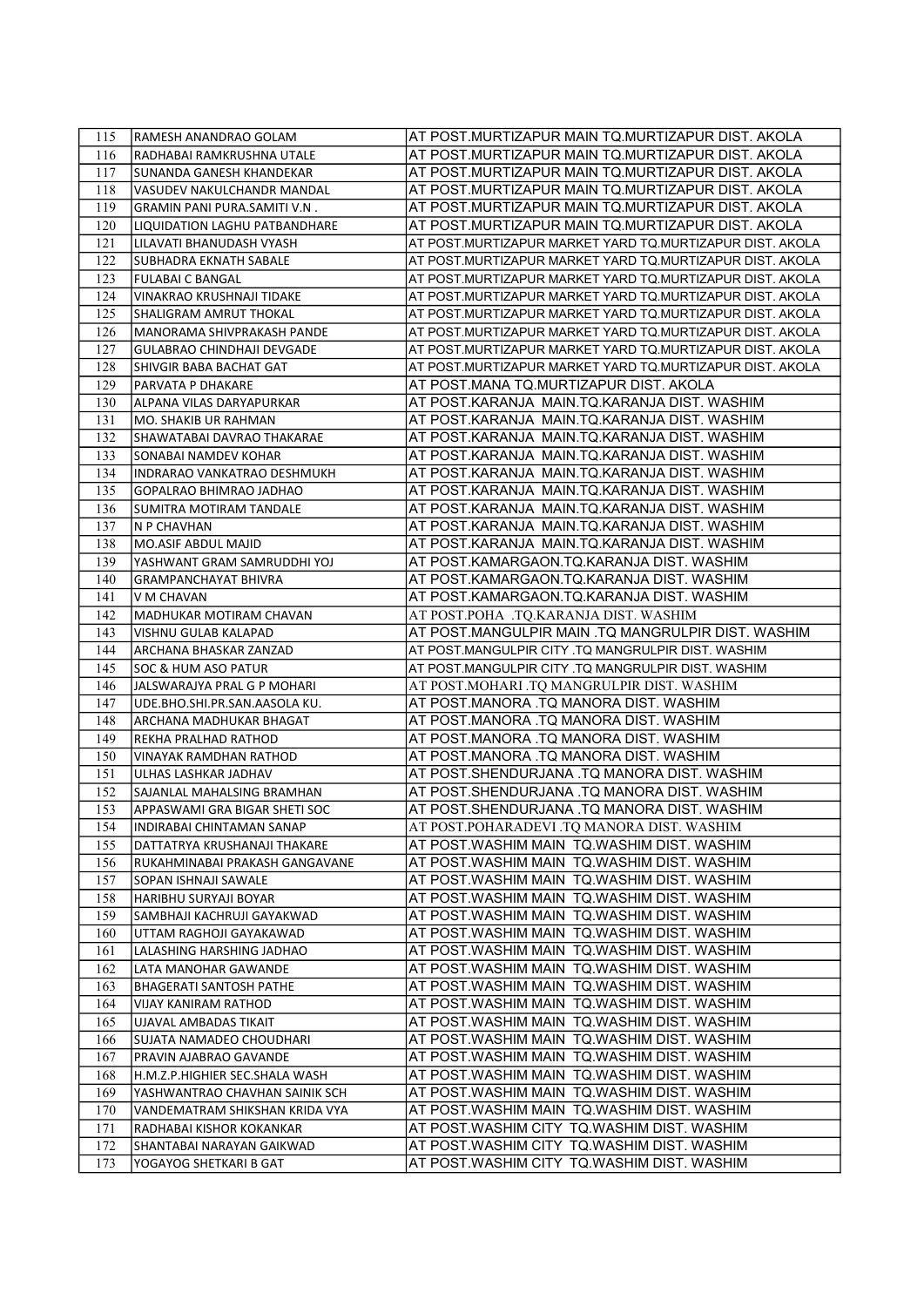| 115        | RAMESH ANANDRAO GOLAM                               | AT POST.MURTIZAPUR MAIN TQ.MURTIZAPUR DIST. AKOLA                                            |
|------------|-----------------------------------------------------|----------------------------------------------------------------------------------------------|
| 116        | RADHABAI RAMKRUSHNA UTALE                           | AT POST.MURTIZAPUR MAIN TQ.MURTIZAPUR DIST. AKOLA                                            |
| 117        | SUNANDA GANESH KHANDEKAR                            | AT POST.MURTIZAPUR MAIN TO.MURTIZAPUR DIST. AKOLA                                            |
| 118        | VASUDEV NAKULCHANDR MANDAL                          | AT POST.MURTIZAPUR MAIN TQ.MURTIZAPUR DIST. AKOLA                                            |
| 119        | GRAMIN PANI PURA.SAMITI V.N.                        | AT POST.MURTIZAPUR MAIN TQ.MURTIZAPUR DIST. AKOLA                                            |
| 120        | LIQUIDATION LAGHU PATBANDHARE                       | AT POST.MURTIZAPUR MAIN TQ.MURTIZAPUR DIST. AKOLA                                            |
| 121        | LILAVATI BHANUDASH VYASH                            | AT POST.MURTIZAPUR MARKET YARD TQ.MURTIZAPUR DIST. AKOLA                                     |
| 122        | SUBHADRA EKNATH SABALE                              | AT POST.MURTIZAPUR MARKET YARD TO.MURTIZAPUR DIST. AKOLA                                     |
| 123        | <b>FULABAI C BANGAL</b>                             | AT POST.MURTIZAPUR MARKET YARD TO.MURTIZAPUR DIST. AKOLA                                     |
| 124        | VINAKRAO KRUSHNAJI TIDAKE                           | AT POST.MURTIZAPUR MARKET YARD TO.MURTIZAPUR DIST. AKOLA                                     |
| 125        | SHALIGRAM AMRUT THOKAL                              | AT POST.MURTIZAPUR MARKET YARD TO.MURTIZAPUR DIST. AKOLA                                     |
| 126        | MANORAMA SHIVPRAKASH PANDE                          | AT POST MURTIZAPUR MARKET YARD TO MURTIZAPUR DIST. AKOLA                                     |
| 127        | GULABRAO CHINDHAJI DEVGADE                          | AT POST MURTIZAPUR MARKET YARD TO MURTIZAPUR DIST. AKOLA                                     |
| 128        | SHIVGIR BABA BACHAT GAT                             | AT POST.MURTIZAPUR MARKET YARD TO.MURTIZAPUR DIST. AKOLA                                     |
| 129        | PARVATA P DHAKARE                                   | AT POST.MANA TQ.MURTIZAPUR DIST. AKOLA                                                       |
| 130        | ALPANA VILAS DARYAPURKAR                            | AT POST.KARANJA MAIN.TQ.KARANJA DIST. WASHIM                                                 |
| 131        | MO. SHAKIB UR RAHMAN                                | AT POST.KARANJA MAIN.TQ.KARANJA DIST. WASHIM                                                 |
|            | SHAWATABAI DAVRAO THAKARAE                          | AT POST.KARANJA MAIN.TQ.KARANJA DIST. WASHIM                                                 |
| 132        |                                                     |                                                                                              |
| 133<br>134 | SONABAI NAMDEV KOHAR<br>INDRARAO VANKATRAO DESHMUKH | AT POST.KARANJA MAIN.TQ.KARANJA DIST. WASHIM<br>AT POST.KARANJA MAIN.TQ.KARANJA DIST. WASHIM |
| 135        |                                                     | AT POST.KARANJA MAIN.TQ.KARANJA DIST. WASHIM                                                 |
| 136        | GOPALRAO BHIMRAO JADHAO<br>SUMITRA MOTIRAM TANDALE  | AT POST.KARANJA MAIN.TQ.KARANJA DIST. WASHIM                                                 |
| 137        | N P CHAVHAN                                         | AT POST.KARANJA MAIN.TQ.KARANJA DIST. WASHIM                                                 |
| 138        | MO.ASIF ABDUL MAJID                                 | AT POST.KARANJA MAIN.TQ.KARANJA DIST. WASHIM                                                 |
| 139        | YASHWANT GRAM SAMRUDDHI YOJ                         | AT POST.KAMARGAON.TQ.KARANJA DIST. WASHIM                                                    |
| 140        | <b>GRAMPANCHAYAT BHIVRA</b>                         | AT POST.KAMARGAON.TQ.KARANJA DIST. WASHIM                                                    |
| 141        | V M CHAVAN                                          | AT POST.KAMARGAON.TQ.KARANJA DIST. WASHIM                                                    |
| 142        | MADHUKAR MOTIRAM CHAVAN                             | AT POST.POHA .TQ.KARANJA DIST. WASHIM                                                        |
| 143        | VISHNU GULAB KALAPAD                                | AT POST.MANGULPIR MAIN .TQ MANGRULPIR DIST. WASHIM                                           |
| 144        | ARCHANA BHASKAR ZANZAD                              | AT POST MANGULPIR CITY .TQ MANGRULPIR DIST. WASHIM                                           |
| 145        | SOC & HUM ASO PATUR                                 | AT POST.MANGULPIR CITY .TQ MANGRULPIR DIST. WASHIM                                           |
| 146        | JALSWARAJYA PRAL G P MOHARI                         | AT POST.MOHARI .TQ MANGRULPIR DIST. WASHIM                                                   |
| 147        | UDE.BHO.SHI.PR.SAN.AASOLA KU.                       | AT POST.MANORA .TQ MANORA DIST. WASHIM                                                       |
| 148        | ARCHANA MADHUKAR BHAGAT                             | AT POST.MANORA .TQ MANORA DIST. WASHIM                                                       |
| 149        | REKHA PRALHAD RATHOD                                | AT POST MANORA .TO MANORA DIST. WASHIM                                                       |
| 150        | <b>VINAYAK RAMDHAN RATHOD</b>                       | AT POST.MANORA .TQ MANORA DIST. WASHIM                                                       |
| 151        | ULHAS LASHKAR JADHAV                                | AT POST.SHENDURJANA .TQ MANORA DIST. WASHIM                                                  |
| 152        | SAJANLAL MAHALSING BRAMHAN                          | AT POST.SHENDURJANA .TQ MANORA DIST. WASHIM                                                  |
| 153        | APPASWAMI GRA BIGAR SHETI SOC                       | AT POST.SHENDURJANA .TQ MANORA DIST. WASHIM                                                  |
| 154        | INDIRABAI CHINTAMAN SANAP                           | AT POST.POHARADEVI .TQ MANORA DIST. WASHIM                                                   |
| 155        | DATTATRYA KRUSHANAJI THAKARE                        | AT POST.WASHIM MAIN TQ.WASHIM DIST. WASHIM                                                   |
| 156        | RUKAHMINABAI PRAKASH GANGAVANE                      | AT POST.WASHIM MAIN  TQ.WASHIM DIST. WASHIM                                                  |
| 157        | SOPAN ISHNAJI SAWALE                                | AT POST.WASHIM MAIN TQ.WASHIM DIST. WASHIM                                                   |
| 158        | HARIBHU SURYAJI BOYAR                               | AT POST.WASHIM MAIN TQ.WASHIM DIST. WASHIM                                                   |
| 159        | SAMBHAJI KACHRUJI GAYAKWAD                          | AT POST.WASHIM MAIN TQ.WASHIM DIST. WASHIM                                                   |
| 160        | UTTAM RAGHOJI GAYAKAWAD                             | AT POST.WASHIM MAIN TQ.WASHIM DIST. WASHIM                                                   |
| 161        | LALASHING HARSHING JADHAO                           | AT POST.WASHIM MAIN TQ.WASHIM DIST. WASHIM                                                   |
| 162        | LATA MANOHAR GAWANDE                                | AT POST.WASHIM MAIN TO.WASHIM DIST. WASHIM                                                   |
| 163        | BHAGERATI SANTOSH PATHE                             | AT POST.WASHIM MAIN TQ.WASHIM DIST. WASHIM                                                   |
| 164        | VIJAY KANIRAM RATHOD                                | AT POST.WASHIM MAIN TQ.WASHIM DIST. WASHIM                                                   |
| 165        | UJAVAL AMBADAS TIKAIT                               | AT POST.WASHIM MAIN TQ.WASHIM DIST. WASHIM                                                   |
| 166        | SUJATA NAMADEO CHOUDHARI                            | AT POST.WASHIM MAIN TQ.WASHIM DIST. WASHIM                                                   |
| 167        | PRAVIN AJABRAO GAVANDE                              | AT POST.WASHIM MAIN TQ.WASHIM DIST. WASHIM                                                   |
| 168        | H.M.Z.P.HIGHIER SEC.SHALA WASH                      | AT POST.WASHIM MAIN TQ.WASHIM DIST. WASHIM                                                   |
| 169        | YASHWANTRAO CHAVHAN SAINIK SCH                      | AT POST.WASHIM MAIN TQ.WASHIM DIST. WASHIM                                                   |
| 170        | VANDEMATRAM SHIKSHAN KRIDA VYA                      | AT POST.WASHIM MAIN TQ.WASHIM DIST. WASHIM                                                   |
| 171        | RADHABAI KISHOR KOKANKAR                            | AT POST.WASHIM CITY TQ.WASHIM DIST. WASHIM                                                   |
| 172        | SHANTABAI NARAYAN GAIKWAD                           | AT POST.WASHIM CITY TQ.WASHIM DIST. WASHIM                                                   |
| 173        | YOGAYOG SHETKARI B GAT                              | AT POST.WASHIM CITY TQ.WASHIM DIST. WASHIM                                                   |